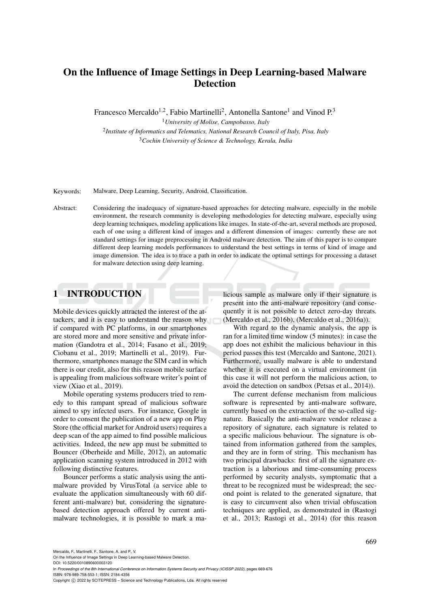# On the Influence of Image Settings in Deep Learning-based Malware Detection

Francesco Mercaldo<sup>1,2</sup>, Fabio Martinelli<sup>2</sup>, Antonella Santone<sup>1</sup> and Vinod P.<sup>3</sup>

<sup>1</sup>*University of Molise, Campobasso, Italy* 2 *Institute of Informatics and Telematics, National Research Council of Italy, Pisa, Italy* <sup>3</sup>*Cochin University of Science & Technology, Kerala, India*

Keywords: Malware, Deep Learning, Security, Android, Classification.

Abstract: Considering the inadequacy of signature-based approaches for detecting malware, especially in the mobile environment, the research community is developing methodologies for detecting malware, especially using deep learning techniques, modeling applications like images. In state-of-the-art, several methods are proposed, each of one using a different kind of images and a different dimension of images: currently these are not standard settings for image preprocessing in Android malware detection. The aim of this paper is to compare different deep learning models performances to understand the best settings in terms of kind of image and image dimension. The idea is to trace a path in order to indicate the optimal settings for processing a dataset for malware detection using deep learning.

### 1 INTRODUCTION

Mobile devices quickly attracted the interest of the attackers, and it is easy to understand the reason why if compared with PC platforms, in our smartphones are stored more and more sensitive and private information (Gandotra et al., 2014; Fasano et al., 2019; Ciobanu et al., 2019; Martinelli et al., 2019). Furthermore, smartphones manage the SIM card in which there is our credit, also for this reason mobile surface is appealing from malicious software writer's point of view (Xiao et al., 2019).

Mobile operating systems producers tried to remedy to this rampant spread of malicious software aimed to spy infected users. For instance, Google in order to consent the publication of a new app on Play Store (the official market for Android users) requires a deep scan of the app aimed to find possible malicious activities. Indeed, the new app must be submitted to Bouncer (Oberheide and Mille, 2012), an automatic application scanning system introduced in 2012 with following distinctive features.

Bouncer performs a static analysis using the antimalware provided by VirusTotal (a service able to evaluate the application simultaneously with 60 different anti-malware) but, considering the signaturebased detection approach offered by current antimalware technologies, it is possible to mark a malicious sample as malware only if their signature is present into the anti-malware repository (and consequently it is not possible to detect zero-day threats. (Mercaldo et al., 2016b), (Mercaldo et al., 2016a)).

With regard to the dynamic analysis, the app is ran for a limited time window (5 minutes): in case the app does not exhibit the malicious behaviour in this period passes this test (Mercaldo and Santone, 2021). Furthermore, usually malware is able to understand whether it is executed on a virtual environment (in this case it will not perform the malicious action, to avoid the detection on sandbox (Petsas et al., 2014)).

The current defense mechanism from malicious software is represented by anti-malware software, currently based on the extraction of the so-called signature. Basically the anti-malware vendor release a repository of signature, each signature is related to a specific malicious behaviour. The signature is obtained from information gathered from the samples, and they are in form of string. This mechanism has two principal drawbacks: first of all the signature extraction is a laborious and time-consuming process performed by security analysts, symptomatic that a threat to be recognized must be widespread; the second point is related to the generated signature, that is easy to circumvent also when trivial obfuscation techniques are applied, as demonstrated in (Rastogi et al., 2013; Rastogi et al., 2014) (for this reason

Mercaldo, F., Martinelli, F., Santone, A. and P., V.

DOI: 10.5220/0010890600003120

In *Proceedings of the 8th International Conference on Information Systems Security and Privacy (ICISSP 2022)*, pages 669-676 ISBN: 978-989-758-553-1; ISSN: 2184-4356

On the Influence of Image Settings in Deep Learning-based Malware Detection.

Copyright (C) 2022 by SCITEPRESS - Science and Technology Publications, Lda. All rights reserved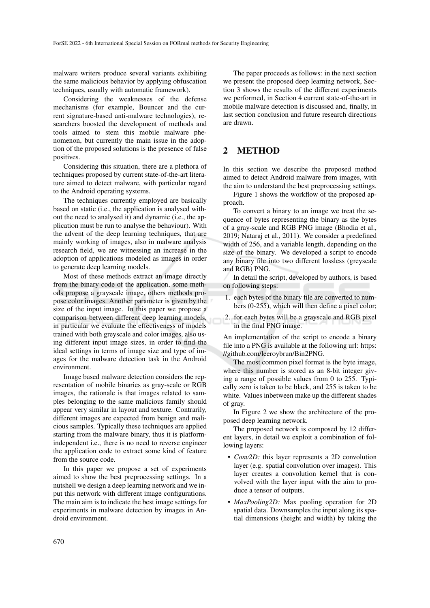malware writers produce several variants exhibiting the same malicious behavior by applying obfuscation techniques, usually with automatic framework).

Considering the weaknesses of the defense mechanisms (for example, Bouncer and the current signature-based anti-malware technologies), researchers boosted the development of methods and tools aimed to stem this mobile malware phenomenon, but currently the main issue in the adoption of the proposed solutions is the presence of false positives.

Considering this situation, there are a plethora of techniques proposed by current state-of-the-art literature aimed to detect malware, with particular regard to the Android operating systems.

The techniques currently employed are basically based on static (i.e., the application is analysed without the need to analysed it) and dynamic (i.e., the application must be run to analyse the behaviour). With the advent of the deep learning techniques, that are mainly working of images, also in malware analysis research field, we are witnessing an increase in the adoption of applications modeled as images in order to generate deep learning models.

Most of these methods extract an image directly from the binary code of the application, some methods propose a grayscale image, others methods propose color images. Another parameter is given by the size of the input image. In this paper we propose a comparison between different deep learning models, in particular we evaluate the effectiveness of models trained with both greyscale and color images, also using different input image sizes, in order to find the ideal settings in terms of image size and type of images for the malware detection task in the Android environment.

Image based malware detection considers the representation of mobile binaries as gray-scale or RGB images, the rationale is that images related to samples belonging to the same malicious family should appear very similar in layout and texture. Contrarily, different images are expected from benign and malicious samples. Typically these techniques are applied starting from the malware binary, thus it is platformindependent i.e., there is no need to reverse engineer the application code to extract some kind of feature from the source code.

In this paper we propose a set of experiments aimed to show the best preprocessing settings. In a nutshell we design a deep learning network and we input this network with different image configurations. The main aim is to indicate the best image settings for experiments in malware detection by images in Android environment.

The paper proceeds as follows: in the next section we present the proposed deep learning network, Section 3 shows the results of the different experiments we performed, in Section 4 current state-of-the-art in mobile malware detection is discussed and, finally, in last section conclusion and future research directions are drawn.

## 2 METHOD

In this section we describe the proposed method aimed to detect Android malware from images, with the aim to understand the best preprocessing settings.

Figure 1 shows the workflow of the proposed approach.

To convert a binary to an image we treat the sequence of bytes representing the binary as the bytes of a gray-scale and RGB PNG image (Bhodia et al., 2019; Nataraj et al., 2011). We consider a predefined width of 256, and a variable length, depending on the size of the binary. We developed a script to encode any binary file into two different lossless (greyscale and RGB) PNG.

In detail the script, developed by authors, is based on following steps:

- 1. each bytes of the binary file are converted to numbers (0-255), which will then define a pixel color;
- 2. for each bytes will be a grayscale and RGB pixel in the final PNG image.

An implementation of the script to encode a binary file into a PNG is available at the following url: https: //github.com/leeroybrun/Bin2PNG.

The most common pixel format is the byte image, where this number is stored as an 8-bit integer giving a range of possible values from 0 to 255. Typically zero is taken to be black, and 255 is taken to be white. Values inbetween make up the different shades of gray.

In Figure 2 we show the architecture of the proposed deep learning network.

The proposed network is composed by 12 different layers, in detail we exploit a combination of following layers:

- *Conv2D:* this layer represents a 2D convolution layer (e.g. spatial convolution over images). This layer creates a convolution kernel that is convolved with the layer input with the aim to produce a tensor of outputs.
- *MaxPooling2D:* Max pooling operation for 2D spatial data. Downsamples the input along its spatial dimensions (height and width) by taking the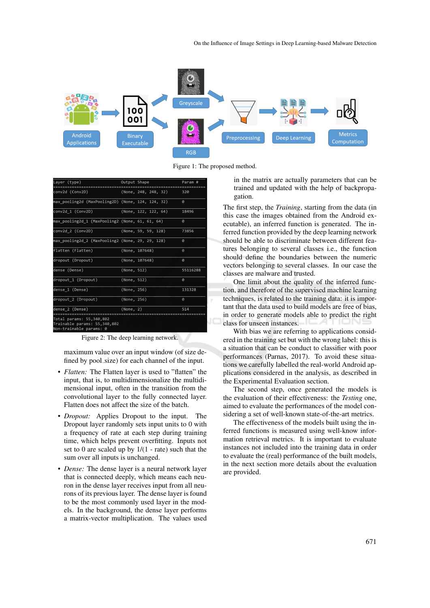

Figure 1: The proposed method.

| Layer (type)                                                                        | Output Shape |                         | Param #  |
|-------------------------------------------------------------------------------------|--------------|-------------------------|----------|
| conv2d (Conv2D)                                                                     |              | (None, $248, 248, 32$ ) | 320      |
| max pooling2d (MaxPooling2D) (None, 124, 124, 32)                                   |              |                         | 0        |
| conv2d 1 (Conv2D)                                                                   |              | (None, 122, 122, 64)    | 18496    |
| max pooling2d 1 (MaxPooling2 (None, 61, 61, 64)                                     |              |                         | 0        |
| conv2d 2 (Conv2D)                                                                   |              | (None, 59, 59, 128)     | 73856    |
| max pooling2d 2 (MaxPooling2 (None, 29, 29, 128)                                    |              |                         | ø        |
| flatten (Flatten)                                                                   |              | (None, 107648)          | ø        |
| dropout (Dropout)                                                                   |              | (None, 107648)          | ø        |
| dense (Dense)                                                                       | (None, 512)  |                         | 55116288 |
| dropout 1 (Dropout)                                                                 | (None, 512)  |                         | ø        |
| dense 1 (Dense)                                                                     | (None, 256)  |                         | 131328   |
| dropout 2 (Dropout)                                                                 | (None, 256)  |                         | ø        |
| dense 2 (Dense)                                                                     | (None, 2)    |                         | 514      |
| Total params: 55,340,802<br>Trainable params: 55,340,802<br>Non-trainable params: 0 |              |                         |          |

Figure 2: The deep learning network.

maximum value over an input window (of size defined by pool size) for each channel of the input.

- *Flatten:* The Flatten layer is used to "flatten" the input, that is, to multidimensionalize the multidimensional input, often in the transition from the convolutional layer to the fully connected layer. Flatten does not affect the size of the batch.
- *Dropout:* Applies Dropout to the input. The Dropout layer randomly sets input units to 0 with a frequency of rate at each step during training time, which helps prevent overfitting. Inputs not set to 0 are scaled up by  $1/(1 - \text{rate})$  such that the sum over all inputs is unchanged.
- *Dense:* The dense layer is a neural network layer that is connected deeply, which means each neuron in the dense layer receives input from all neurons of its previous layer. The dense layer is found to be the most commonly used layer in the models. In the background, the dense layer performs a matrix-vector multiplication. The values used

in the matrix are actually parameters that can be trained and updated with the help of backpropagation.

The first step, the *Training*, starting from the data (in this case the images obtained from the Android executable), an inferred function is generated. The inferred function provided by the deep learning network should be able to discriminate between different features belonging to several classes i.e., the function should define the boundaries between the numeric vectors belonging to several classes. In our case the classes are malware and trusted.

One limit about the quality of the inferred function, and therefore of the supervised machine learning techniques, is related to the training data: it is important that the data used to build models are free of bias, in order to generate models able to predict the right class for unseen instances.

With bias we are referring to applications considered in the training set but with the wrong label: this is a situation that can be conduct to classifier with poor performances (Parnas, 2017). To avoid these situations we carefully labelled the real-world Android applications considered in the analysis, as described in the Experimental Evaluation section.

The second step, once generated the models is the evaluation of their effectiveness: the *Testing* one, aimed to evaluate the performances of the model considering a set of well-known state-of-the-art metrics.

The effectiveness of the models built using the inferred functions is measured using well-know information retrieval metrics. It is important to evaluate instances not included into the training data in order to evaluate the (real) performance of the built models, in the next section more details about the evaluation are provided.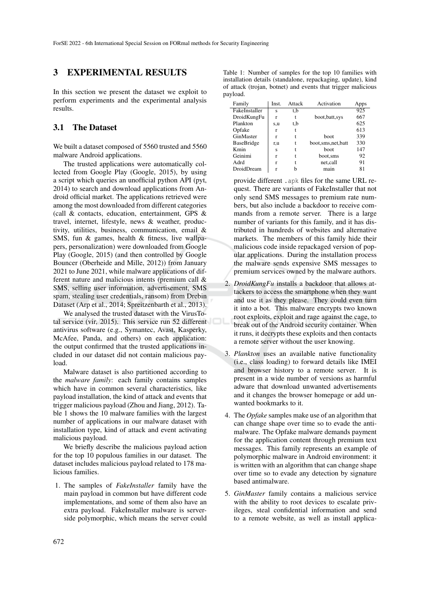### 3 EXPERIMENTAL RESULTS

In this section we present the dataset we exploit to perform experiments and the experimental analysis results.

### 3.1 The Dataset

We built a dataset composed of 5560 trusted and 5560 malware Android applications.

The trusted applications were automatically collected from Google Play (Google, 2015), by using a script which queries an unofficial python API (pyt, 2014) to search and download applications from Android official market. The applications retrieved were among the most downloaded from different categories (call & contacts, education, entertainment, GPS & travel, internet, lifestyle, news & weather, productivity, utilities, business, communication, email & SMS, fun & games, health & fitness, live wallpapers, personalization) were downloaded from Google Play (Google, 2015) (and then controlled by Google Bouncer (Oberheide and Mille, 2012)) from January 2021 to June 2021, while malware applications of different nature and malicious intents (premium call & SMS, selling user information, advertisement, SMS spam, stealing user credentials, ransom) from Drebin Dataset (Arp et al., 2014; Spreitzenbarth et al., 2013).

We analysed the trusted dataset with the VirusTotal service (vir, 2015). This service run 52 different antivirus software (e.g., Symantec, Avast, Kasperky, McAfee, Panda, and others) on each application: the output confirmed that the trusted applications included in our dataset did not contain malicious payload.

Malware dataset is also partitioned according to the *malware family*: each family contains samples which have in common several characteristics, like payload installation, the kind of attack and events that trigger malicious payload (Zhou and Jiang, 2012). Table 1 shows the 10 malware families with the largest number of applications in our malware dataset with installation type, kind of attack and event activating malicious payload.

We briefly describe the malicious payload action for the top 10 populous families in our dataset. The dataset includes malicious payload related to 178 malicious families.

1. The samples of *FakeInstaller* family have the main payload in common but have different code implementations, and some of them also have an extra payload. FakeInstaller malware is serverside polymorphic, which means the server could

Table 1: Number of samples for the top 10 families with installation details (standalone, repackaging, update), kind of attack (trojan, botnet) and events that trigger malicious payload.

| Family        | Inst. | Attack | Activation           | Apps |
|---------------|-------|--------|----------------------|------|
| FakeInstaller | S     | t,b    |                      | 925  |
| DroidKungFu   | r     |        | boot, batt, sys      | 667  |
| Plankton      | s,u   | t,b    |                      | 625  |
| Opfake        | r     |        |                      | 613  |
| GinMaster     | r     |        | boot.                | 339  |
| BaseBridge    | r,u   | t      | boot, sms, net, batt | 330  |
| Kmin          | Ś     |        | <b>boot</b>          | 147  |
| Geinimi       | r     |        | boot.sms             | 92   |
| Adrd          | r     | t      | net,call             | 91   |
| DroidDream    |       |        | main                 | 81   |

provide different .apk files for the same URL request. There are variants of FakeInstaller that not only send SMS messages to premium rate numbers, but also include a backdoor to receive commands from a remote server. There is a large number of variants for this family, and it has distributed in hundreds of websites and alternative markets. The members of this family hide their malicious code inside repackaged version of popular applications. During the installation process the malware sends expensive SMS messages to premium services owned by the malware authors.

- 2. *DroidKungFu* installs a backdoor that allows attackers to access the smartphone when they want and use it as they please. They could even turn it into a bot. This malware encrypts two known root exploits, exploit and rage against the cage, to break out of the Android security container. When it runs, it decrypts these exploits and then contacts a remote server without the user knowing.
- 3. *Plankton* uses an available native functionality (i.e., class loading) to forward details like IMEI and browser history to a remote server. It is present in a wide number of versions as harmful adware that download unwanted advertisements and it changes the browser homepage or add unwanted bookmarks to it.
- 4. The *Opfake* samples make use of an algorithm that can change shape over time so to evade the antimalware. The Opfake malware demands payment for the application content through premium text messages. This family represents an example of polymorphic malware in Android environment: it is written with an algorithm that can change shape over time so to evade any detection by signature based antimalware.
- 5. *GinMaster* family contains a malicious service with the ability to root devices to escalate privileges, steal confidential information and send to a remote website, as well as install applica-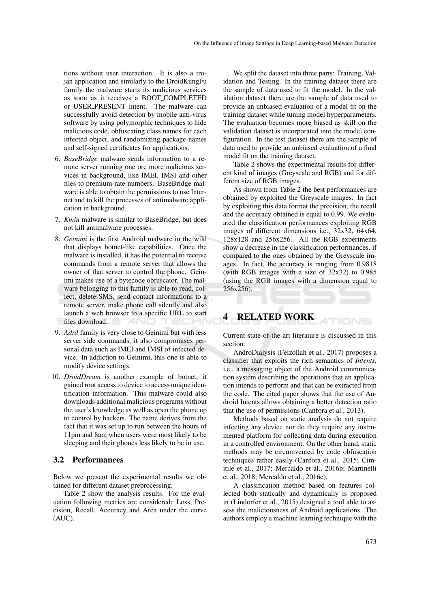tions without user interaction. It is also a trojan application and similarly to the DroidKungFu family the malware starts its malicious services as soon as it receives a BOOT COMPLETED or USER PRESENT intent. The malware can successfully avoid detection by mobile anti-virus software by using polymorphic techniques to hide malicious code, obfuscating class names for each infected object, and randomizing package names and self-signed certificates for applications.

- 6. *BaseBridge* malware sends information to a remote server running one ore more malicious services in background, like IMEI, IMSI and other files to premium-rate numbers. BaseBridge malware is able to obtain the permissions to use Internet and to kill the processes of antimalware application in background.
- 7. *Kmin* malware is similar to BaseBridge, but does not kill antimalware processes.
- 8. *Geinimi* is the first Android malware in the wild that displays botnet-like capabilities. Once the malware is installed, it has the potential to receive commands from a remote server that allows the owner of that server to control the phone. Geinimi makes use of a bytecode obfuscator. The malware belonging to this family is able to read, collect, delete SMS, send contact informations to a remote server, make phone call silently and also launch a web browser to a specific URL to start files download. TECHN
- 9. *Adrd* family is very close to Geinimi but with less server side commands, it also compromises personal data such as IMEI and IMSI of infected device. In addiction to Geinimi, this one is able to modify device settings.
- 10. *DroidDream* is another example of botnet, it gained root access to device to access unique identification information. This malware could also downloads additional malicious programs without the user's knowledge as well as open the phone up to control by hackers. The name derives from the fact that it was set up to run between the hours of 11pm and 8am when users were most likely to be sleeping and their phones less likely to be in use.

#### 3.2 Performances

Below we present the experimental results we obtained for different dataset preprocessing.

Table 2 show the analysis results. For the evaluation following metrics are considered: Loss, Precision, Recall, Accuracy and Area under the curve (AUC).

We split the dataset into three parts: Training, Validation and Testing. In the training dataset there are the sample of data used to fit the model. In the validation dataset there are the sample of data used to provide an unbiased evaluation of a model fit on the training dataset while tuning model hyperparameters. The evaluation becomes more biased as skill on the validation dataset is incorporated into the model configuration. In the test dataset there are the sample of data used to provide an unbiased evaluation of a final model fit on the training dataset.

Table 2 shows the experimental results for different kind of images (Greyscale and RGB) and for different size of RGB images.

As shown from Table 2 the best performances are obtained by exploited the Greyscale images. In fact by exploiting this data format the precision, the recall and the accuracy obtained is equal to 0.99. We evaluated the classification performances exploiting RGB images of different dimensions i.e., 32x32, 64x64, 128x128 and 256x256. All the RGB experiments show a decrease in the classification performances, if compared to the ones obtained by the Greyscale images. In fact, the accuracy is ranging from 0.9818 (with RGB images with a size of 32x32) to 0.985 (using the RGB images with a dimension equal to 256x256).

## 4 RELATED WORK

Current state-of-the-art literature is discussed in this section.

TIONS

AndroDialysis (Feizollah et al., 2017) proposes a classifier that exploits the rich semantics of *Intents*, i.e., a messaging object of the Android communication system describing the operations that an application intends to perform and that can be extracted from the code. The cited paper shows that the use of Android Intents allows obtaining a better detection ratio that the use of permissions (Canfora et al., 2013).

Methods based on static analysis do not require infecting any device nor do they require any instrumented platform for collecting data during execution in a controlled environment. On the other hand, static methods may be circumvented by code obfuscation techniques rather easily (Canfora et al., 2015; Cimitile et al., 2017; Mercaldo et al., 2016b; Martinelli et al., 2018; Mercaldo et al., 2016c).

A classification method based on features collected both statically and dynamically is proposed in (Lindorfer et al., 2015) designed a tool able to assess the maliciousness of Android applications. The authors employ a machine learning technique with the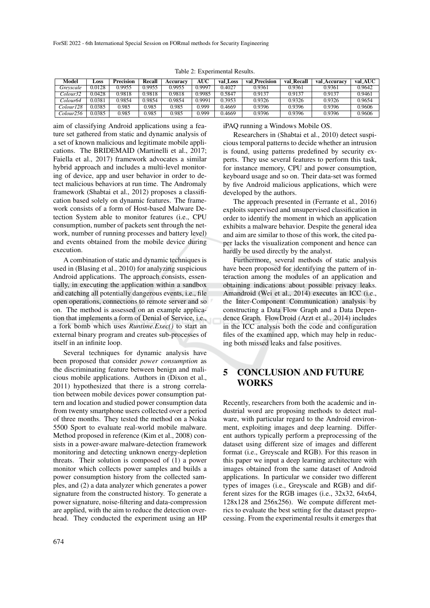| <b>Model</b>          | <b>LOSS</b> | <b>Precision</b> | Recall | <b>Accuracy</b> | <b>AUC</b> | val Loss | val Precision | val_Recall | val_Accuracv | val_AUC |
|-----------------------|-------------|------------------|--------|-----------------|------------|----------|---------------|------------|--------------|---------|
| Grevscale             | 0.0128      | 0.9955           | 0.9955 | 0.9955          | 0.9997     | 0.4027   | 0.9361        | 0.9361     | 0.9361       | 0.9642  |
| Colour32              | 0.0428      | 0.9818           | 0.9818 | 0.9818          | 0.9985     | 0.5847   | 0.9137        | 0.9137     | 0.9137       | 0.9461  |
| Colour64              | 0.0381      | 0.9854           | 0.9854 | 0.9854          | 0.9991     | 0.3953   | 0.9326        | 0.9326     | 0.9326       | 0.9654  |
| Colour128             | 0.0385      | 0.985            | 0.985  | 0.985           | 0.999      | 0.4669   | 0.9396        | 0.9396     | 0.9396       | 0.9606  |
| Colour <sub>256</sub> | 0.0385      | 0.985            | 0.985  | 0.985           | 0.999      | 0.4669   | 0.9396        | 0.9396     | 0.9396       | 0.9606  |

Table 2: Experimental Results.

aim of classifying Android applications using a feature set gathered from static and dynamic analysis of a set of known malicious and legitimate mobile applications. The BRIDEMAID (Martinelli et al., 2017; Faiella et al., 2017) framework advocates a similar hybrid approach and includes a multi-level monitoring of device, app and user behavior in order to detect malicious behaviors at run time. The Andromaly framework (Shabtai et al., 2012) proposes a classification based solely on dynamic features. The framework consists of a form of Host-based Malware Detection System able to monitor features (i.e., CPU consumption, number of packets sent through the network, number of running processes and battery level) and events obtained from the mobile device during execution.

A combination of static and dynamic techniques is used in (Blasing et al., 2010) for analyzing suspicious Android applications. The approach consists, essentially, in executing the application within a sandbox and catching all potentially dangerous events, i.e., file open operations, connections to remote server and so on. The method is assessed on an example application that implements a form of Denial of Service, i.e., a fork bomb which uses *Runtime.Exec()* to start an external binary program and creates sub-processes of itself in an infinite loop.

Several techniques for dynamic analysis have been proposed that consider *power consumption* as the discriminating feature between benign and malicious mobile applications. Authors in (Dixon et al., 2011) hypothesized that there is a strong correlation between mobile devices power consumption pattern and location and studied power consumption data from twenty smartphone users collected over a period of three months. They tested the method on a Nokia 5500 Sport to evaluate real-world mobile malware. Method proposed in reference (Kim et al., 2008) consists in a power-aware malware-detection framework monitoring and detecting unknown energy-depletion threats. Their solution is composed of (1) a power monitor which collects power samples and builds a power consumption history from the collected samples, and (2) a data analyzer which generates a power signature from the constructed history. To generate a power signature, noise-filtering and data-compression are applied, with the aim to reduce the detection overhead. They conducted the experiment using an HP

#### iPAQ running a Windows Mobile OS.

Researchers in (Shabtai et al., 2010) detect suspicious temporal patterns to decide whether an intrusion is found, using patterns predefined by security experts. They use several features to perform this task, for instance memory, CPU and power consumption, keyboard usage and so on. Their data-set was formed by five Android malicious applications, which were developed by the authors.

The approach presented in (Ferrante et al., 2016) exploits supervised and unsupervised classification in order to identify the moment in which an application exhibits a malware behavior. Despite the general idea and aim are similar to those of this work, the cited paper lacks the visualization component and hence can hardly be used directly by the analyst.

Furthermore, several methods of static analysis have been proposed for identifying the pattern of interaction among the modules of an application and obtaining indications about possible privacy leaks. Amandroid (Wei et al., 2014) executes an ICC (i.e., the Inter-Component Communication) analysis by constructing a Data Flow Graph and a Data Dependence Graph. FlowDroid (Arzt et al., 2014) includes in the ICC analysis both the code and configuration files of the examined app, which may help in reducing both missed leaks and false positives.

## 5 CONCLUSION AND FUTURE WORKS

Recently, researchers from both the academic and industrial word are proposing methods to detect malware, with particular regard to the Android environment, exploiting images and deep learning. Different authors typically perform a preprocessing of the dataset using different size of images and different format (i.e., Greyscale and RGB). For this reason in this paper we input a deep learning architecture with images obtained from the same dataset of Android applications. In particular we consider two different types of images (i.e., Greyscale and RGB) and different sizes for the RGB images (i.e., 32x32, 64x64, 128x128 and 256x256). We compute different metrics to evaluate the best setting for the dataset preprocessing. From the experimental results it emerges that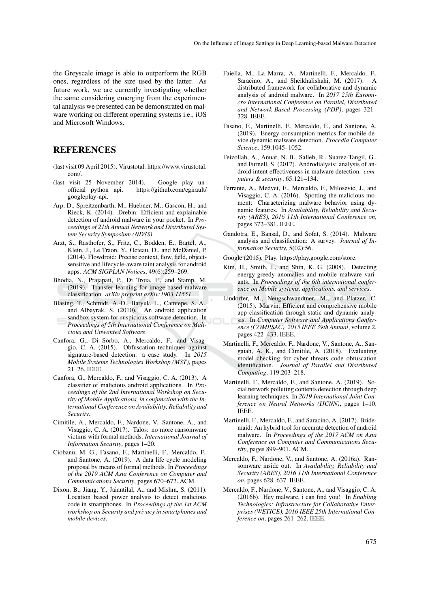the Greyscale image is able to outperform the RGB ones, regardless of the size used by the latter. As future work, we are currently investigating whether the same considering emerging from the experimental analysis we presented can be demonstrated on malware working on different operating systems i.e., iOS and Microsoft Windows.

### REFERENCES

- (last visit 09 April 2015). Virustotal. https://www.virustotal. com/.
- (last visit 25 November 2014). Google play unofficial python api. https://github.com/egirault/ googleplay-api.
- Arp, D., Spreitzenbarth, M., Huebner, M., Gascon, H., and Rieck, K. (2014). Drebin: Efficient and explainable detection of android malware in your pocket. In *Proceedings of 21th Annual Network and Distributed System Security Symposium (NDSS)*.
- Arzt, S., Rasthofer, S., Fritz, C., Bodden, E., Bartel, A., Klein, J., Le Traon, Y., Octeau, D., and McDaniel, P. (2014). Flowdroid: Precise context, flow, field, objectsensitive and lifecycle-aware taint analysis for android apps. *ACM SIGPLAN Notices*, 49(6):259–269.
- Bhodia, N., Prajapati, P., Di Troia, F., and Stamp, M. (2019). Transfer learning for image-based malware classification. *arXiv preprint arXiv:1903.11551*.
- Blasing, T., Schmidt, A.-D., Batyuk, L., Camtepe, S. A., and Albayrak, S. (2010). An android application sandbox system for suspicious software detection. In *Proceedings of 5th International Conference on Malicious and Unwanted Software*.
- Canfora, G., Di Sorbo, A., Mercaldo, F., and Visaggio, C. A. (2015). Obfuscation techniques against signature-based detection: a case study. In *2015 Mobile Systems Technologies Workshop (MST)*, pages 21–26. IEEE.
- Canfora, G., Mercaldo, F., and Visaggio, C. A. (2013). A classifier of malicious android applications. In *Proceedings of the 2nd International Workshop on Security of Mobile Applications, in conjunction with the International Conference on Availability, Reliability and Security*.
- Cimitile, A., Mercaldo, F., Nardone, V., Santone, A., and Visaggio, C. A. (2017). Talos: no more ransomware victims with formal methods. *International Journal of Information Security*, pages 1–20.
- Ciobanu, M. G., Fasano, F., Martinelli, F., Mercaldo, F., and Santone, A. (2019). A data life cycle modeling proposal by means of formal methods. In *Proceedings of the 2019 ACM Asia Conference on Computer and Communications Security*, pages 670–672. ACM.
- Dixon, B., Jiang, Y., Jaiantilal, A., and Mishra, S. (2011). Location based power analysis to detect malicious code in smartphones. In *Proceedings of the 1st ACM workshop on Security and privacy in smartphones and mobile devices*.
- Faiella, M., La Marra, A., Martinelli, F., Mercaldo, F., Saracino, A., and Sheikhalishahi, M. (2017). distributed framework for collaborative and dynamic analysis of android malware. In *2017 25th Euromicro International Conference on Parallel, Distributed and Network-Based Processing (PDP)*, pages 321– 328. IEEE.
- Fasano, F., Martinelli, F., Mercaldo, F., and Santone, A. (2019). Energy consumption metrics for mobile device dynamic malware detection. *Procedia Computer Science*, 159:1045–1052.
- Feizollah, A., Anuar, N. B., Salleh, R., Suarez-Tangil, G., and Furnell, S. (2017). Androdialysis: analysis of android intent effectiveness in malware detection. *computers & security*, 65:121–134.
- Ferrante, A., Medvet, E., Mercaldo, F., Milosevic, J., and Visaggio, C. A. (2016). Spotting the malicious moment: Characterizing malware behavior using dynamic features. In *Availability, Reliability and Security (ARES), 2016 11th International Conference on*, pages 372–381. IEEE.
- Gandotra, E., Bansal, D., and Sofat, S. (2014). Malware analysis and classification: A survey. *Journal of Information Security*, 5(02):56.
- Google (2015). Play. https://play.google.com/store.
- Kim, H., Smith, J., and Shin, K. G. (2008). Detecting energy-greedy anomalies and mobile malware variants. In *Proceedings of the 6th international conference on Mobile systems, applications, and services*.
- Lindorfer, M., Neugschwandtner, M., and Platzer, C. (2015). Marvin: Efficient and comprehensive mobile app classification through static and dynamic analysis. In *Computer Software and Applications Conference (COMPSAC), 2015 IEEE 39th Annual*, volume 2, pages 422–433. IEEE.
- Martinelli, F., Mercaldo, F., Nardone, V., Santone, A., Sangaiah, A. K., and Cimitile, A. (2018). Evaluating model checking for cyber threats code obfuscation identification. *Journal of Parallel and Distributed Computing*, 119:203–218.
- Martinelli, F., Mercaldo, F., and Santone, A. (2019). Social network polluting contents detection through deep learning techniques. In *2019 International Joint Conference on Neural Networks (IJCNN)*, pages 1–10. IEEE.
- Martinelli, F., Mercaldo, F., and Saracino, A. (2017). Bridemaid: An hybrid tool for accurate detection of android malware. In *Proceedings of the 2017 ACM on Asia Conference on Computer and Communications Security*, pages 899–901. ACM.
- Mercaldo, F., Nardone, V., and Santone, A. (2016a). Ransomware inside out. In *Availability, Reliability and Security (ARES), 2016 11th International Conference on*, pages 628–637. IEEE.
- Mercaldo, F., Nardone, V., Santone, A., and Visaggio, C. A. (2016b). Hey malware, i can find you! In *Enabling Technologies: Infrastructure for Collaborative Enterprises (WETICE), 2016 IEEE 25th International Conference on*, pages 261–262. IEEE.